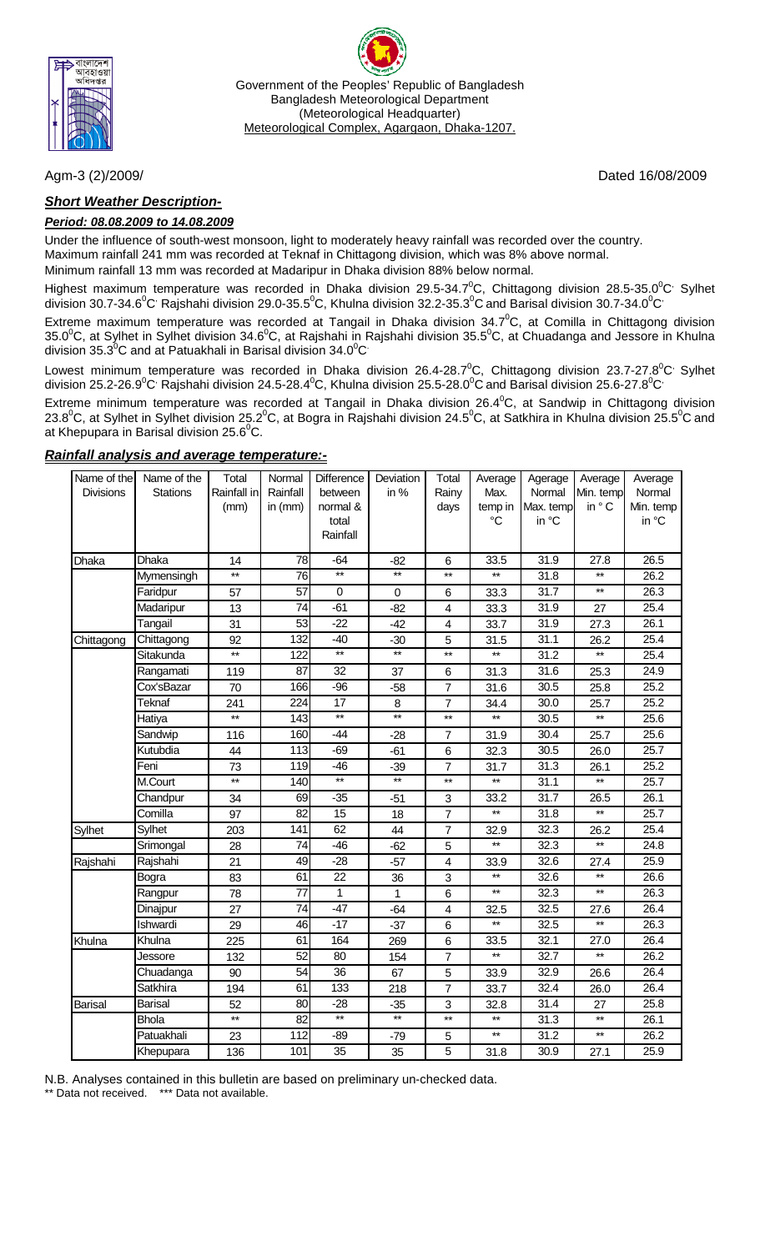

Government of the Peoples' Republic of Bangladesh Bangladesh Meteorological Department (Meteorological Headquarter) Meteorological Complex, Agargaon, Dhaka-1207.

## *Short Weather Description-*

### *Period: 08.08.2009 to 14.08.2009*

Under the influence of south-west monsoon, light to moderately heavy rainfall was recorded over the country. Maximum rainfall 241 mm was recorded at Teknaf in Chittagong division, which was 8% above normal. Minimum rainfall 13 mm was recorded at Madaripur in Dhaka division 88% below normal.

Highest maximum temperature was recorded in Dhaka division 29.5-34.7 $^0$ C, Chittagong division 28.5-35.0 $^0$ C' Sylhet division 30.7-34.6 $^0$ C<sup>,</sup> Rajshahi division 29.0-35.5 $^0$ C, Khulna division 32.2-35.3 $^0$ C and Barisal division 30.7-34.0 $^0$ C $^{\circ}$ 

Extreme maximum temperature was recorded at Tangail in Dhaka division 34.7 $^0$ C, at Comilla in Chittagong division 35.0<sup>0</sup>C, at Sylhet in Sylhet division 34.6<sup>0</sup>C, at Rajshahi in Rajshahi division 35.5<sup>0</sup>C, at Chuadanga and Jessore in Khulna division 35.3 $\mathrm{^0C}$  and at Patuakhali in Barisal division 34.0 $\mathrm{^0C}$ 

Lowest minimum temperature was recorded in Dhaka division 26.4-28.7 $^0$ C, Chittagong division 23.7-27.8 $^0$ C' Sylhet division 25.2-26.9 $^0$ C<sup>,</sup> Rajshahi division 24.5-28.4 $^0$ C, Khulna division 25.5-28.0 $^0$ C and Barisal division 25.6-27.8 $^0$ C $^{\cdot}$ 

Extreme minimum temperature was recorded at Tangail in Dhaka division 26.4 $\rm ^{0}C$ , at Sandwip in Chittagong division 23.8<sup>0</sup>C, at Sylhet in Sylhet division 25.2<sup>0</sup>C, at Bogra in Rajshahi division 24.5<sup>0</sup>C, at Satkhira in Khulna division 25.5<sup>0</sup>C and at Khepupara in Barisal division 25.6 $\mathrm{^0C}$ .

#### Dhaka | Dhaka | 14 | 78 -64 | -82 | 6 | 33.5 | 31.9 | 27.8 | 26.5 Mymensingh | \*\* | 76 \*\* | \*\* | \*\* | \*\* | 31.8 | \*\* | 26.2 Faridpur | 57 | 57 | 0 | 0 | 6 | 33.3 | 31.7 | \*\* | 26.3 Madaripur | 13 | 74 -61 | -82 | 4 | 33.3 | 31.9 | 27 | 25.4 Tangail | 31 | 53| -22 | -42 | 4 | 33.7 | 31.9 | 27.3 | 26.1 Chittagong Chittagong | 92 | 132 -40 | -30 | 5 | 31.5 | 31.1 | 26.2 | 25.4 Sitakunda | \*\* | 122 \*\* | \*\* | \*\* | \*\* | 31.2 | \*\* | 25.4 Rangamati | 119 | 87 | 32 | 37 | 6 | 31.3 | 31.6 | 25.3 | 24.9 Cox'sBazar | 70 | 166 -96 | -58 | 7 | 31.6 | 30.5 | 25.8 | 25.2 Teknaf 241 224 17 8 7 34.4 30.0 25.7 25.2 Hatiya | \*\* | 143 \*\* | \*\* | \*\* | \*\* | 30.5 | \*\* | 25.6 Sandwip | 116 | 160 | -44 | -28 | 7 | 31.9 | 30.4 | 25.7 | 25.6 Kutubdia | 44 | 113| -69 | -61 | 6 | 32.3 | 30.5 | 26.0 | 25.7 Feni | 73 | 119| -46 | -39 | 7 | 31.7 | 31.3 | 26.1 | 25.2 M.Court | \*\* | 140 \*\* | \*\* | \*\* | \*\* | 31.1 | \*\* | 25.7 Chandpur | 34 | 69 -35 | -51 | 3 | 33.2 | 31.7 | 26.5 | 26.1 Comilla | 97 | 82| 15 | 18 | 7 | \*\* | 31.8 | \*\* | 25.7 Sylhet Sylhet | 203 | 141 62 | 44 | 7 | 32.9 | 32.3 | 26.2 | 25.4 Srimongal | 28 | 74 -46 | -62 | 5 | \*\* | 32.3 | \*\* | 24.8 Rajshahi | Rajshahi | 21 | 49| -28 | -57 | 4 | 33.9 | 32.6 | 27.4 | 25.9 Bogra | 83 | 61 | 22 | 36 | 3 | \*\* | 32.6 | \*\* | 26.6 Rangpur | 78 | 77 | 1 | 1 | 6 | \*\* | 32.3 | \*\* | 26.3 Dinajpur | 27 | 74 -47 | -64 | 4 | 32.5 | 32.5 | 27.6 | 26.4 Ishwardi | 29 | 46| -17 | -37 | 6 | \*\* | 32.5 | \*\* | 26.3 Khulna |Khulna | 225 | 61| 164 | 269 | 6 | 33.5 | 32.1 | 27.0 | 26.4 Jessore | 132 | 52| 80 | 154 | 7 | \*\* | 32.7 | \*\* | 26.2 Chuadanga | 90 | 54 36 | 67 | 5 | 33.9 | 32.9 | 26.6 | 26.4 Satkhira | 194 | 61 | 133 | 218 | 7 | 33.7 | 32.4 | 26.0 | 26.4 Barisal |Barisal | 52 | 80| -28 | -35 | 3 | 32.8 | 31.4 | 27 | 25.8 Bhola | \*\* | 82 \*\* | \*\* | \*\* | \*\* | 31.3 | \*\* | 26.1 Patuakhali | 23 | 112| -89 | -79 | 5 | \*\* | 31.2 | \*\* | 26.2 Khepupara | 136 | 101 | 35 | 35 | 3 $\,$  | 31.8 | 30.9 | 27.1 | 25.9 Average Min. temp in  $\circ$  C. Average Normal Min. temp in °C Deviation in % **Total** Rainy days Average Max. temp in °C Agerage Normal Max temp in °C Name of the **Stations** Total Rainfall i (mm) Normal Rainfall in (mm) **Difference** between normal & total Rainfall Name of the Divisions

## *Rainfall analysis and average temperature:-*

N.B. Analyses contained in this bulletin are based on preliminary un-checked data.

Data not received. \*\*\* Data not available.

Agm-3 (2)/2009/ Dated 16/08/2009